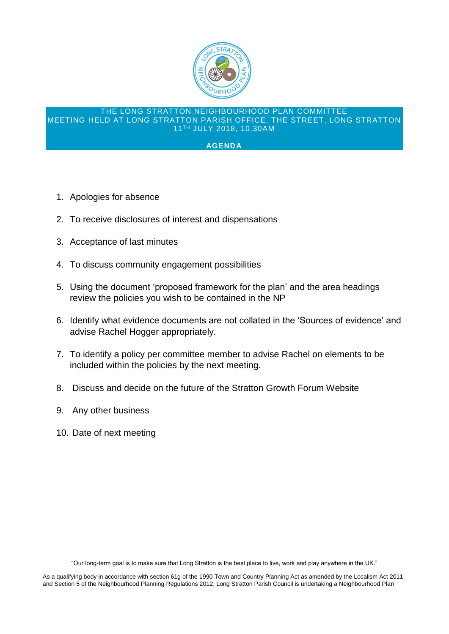

## THE LONG STRATTON NEIGHBOURHOOD PLAN COMMITTEE MEETING HELD AT LONG STRATTON PARISH OFFICE, THE STREET, LONG STRATTON 11TH JULY 2018, 10.30AM

## **AGENDA**

- 1. Apologies for absence
- 2. To receive disclosures of interest and dispensations
- 3. Acceptance of last minutes
- 4. To discuss community engagement possibilities
- 5. Using the document 'proposed framework for the plan' and the area headings review the policies you wish to be contained in the NP
- 6. Identify what evidence documents are not collated in the 'Sources of evidence' and advise Rachel Hogger appropriately.
- 7. To identify a policy per committee member to advise Rachel on elements to be included within the policies by the next meeting.
- 8. Discuss and decide on the future of the Stratton Growth Forum Website
- 9. Any other business
- 10. Date of next meeting

"Our long-term goal is to make sure that Long Stratton is the best place to live, work and play anywhere in the UK."

As a qualifying body in accordance with section 61g of the 1990 Town and Country Planning Act as amended by the Localism Act 2011 and Section 5 of the Neighbourhood Planning Regulations 2012, Long Stratton Parish Council is undertaking a Neighbourhood Plan